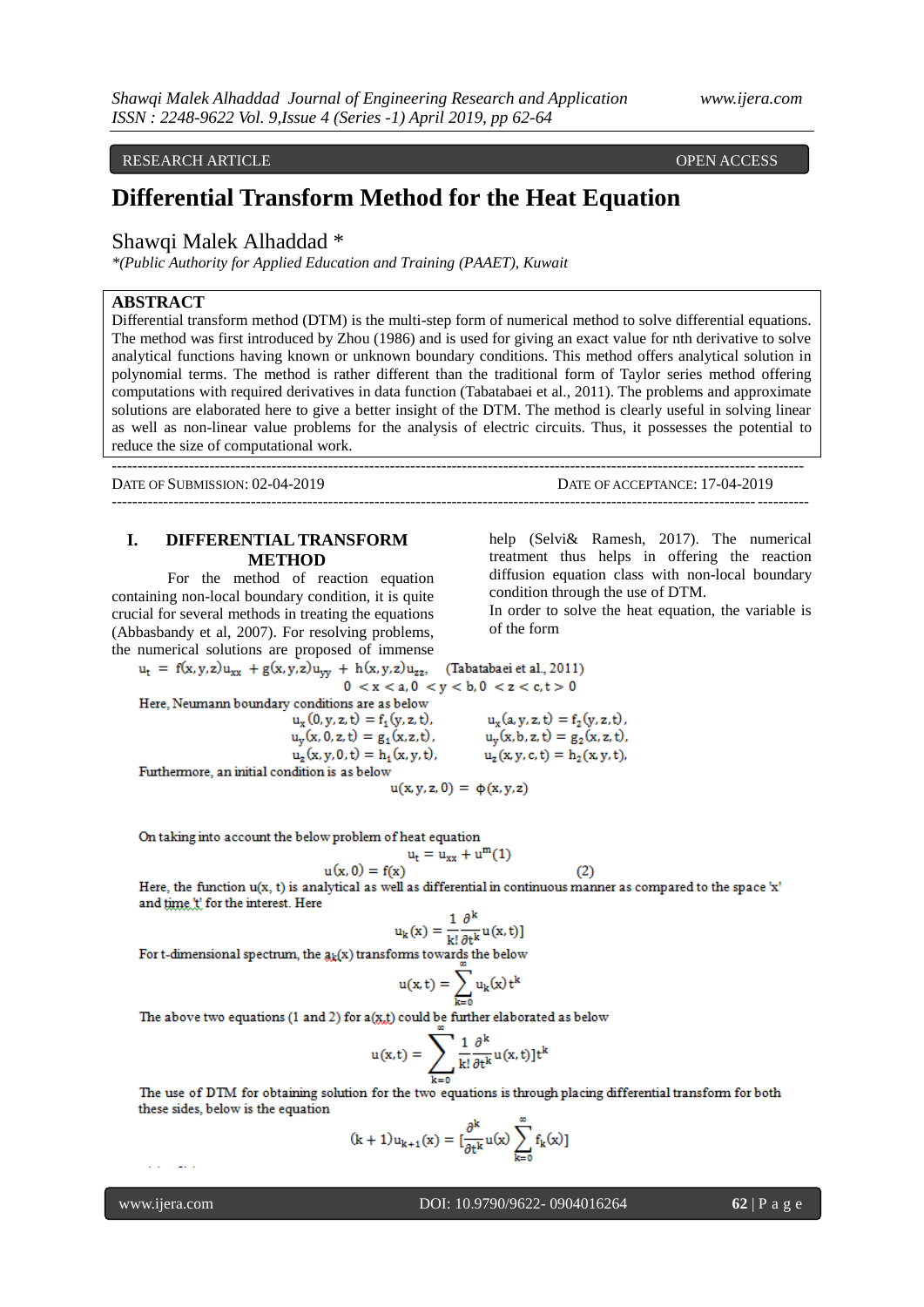RESEARCH ARTICLE OPEN ACCESS

# **Differential Transform Method for the Heat Equation**

## Shawqi Malek Alhaddad \*

*\*(Public Authority for Applied Education and Training (PAAET), Kuwait*

## **ABSTRACT**

Differential transform method (DTM) is the multi-step form of numerical method to solve differential equations. The method was first introduced by Zhou (1986) and is used for giving an exact value for nth derivative to solve analytical functions having known or unknown boundary conditions. This method offers analytical solution in polynomial terms. The method is rather different than the traditional form of Taylor series method offering computations with required derivatives in data function (Tabatabaei et al., 2011). The problems and approximate solutions are elaborated here to give a better insight of the DTM. The method is clearly useful in solving linear as well as non-linear value problems for the analysis of electric circuits. Thus, it possesses the potential to reduce the size of computational work.

--------------------------------------------------------------------------------------------------------------------------------------

DATE OF SUBMISSION: 02-04-2019 DATE OF ACCEPTANCE: 17-04-2019

**I. DIFFERENTIAL TRANSFORM METHOD**

For the method of reaction equation containing non-local boundary condition, it is quite crucial for several methods in treating the equations (Abbasbandy et al, 2007). For resolving problems, the numerical solutions are proposed of immense help (Selvi& Ramesh, 2017). The numerical treatment thus helps in offering the reaction diffusion equation class with non-local boundary condition through the use of DTM.

---------------------------------------------------------------------------------------------------------------------------------------

In order to solve the heat equation, the variable is of the form

 $u_t = f(x, y, z)u_{xx} + g(x, y, z)u_{yy} + h(x, y, z)u_{zz}$ . (Tabatabaei et al., 2011)  $0 < x < a, 0 < y < b, 0 < z < c, t > 0$ Here, Neumann boundary conditions are as below  $u_x(0, y, z, t) = f_1(y, z, t),$  $u_x(a, y, z, t) = f_2(y, z, t)$ ,  $u_y(x, 0, z, t) = g_1(x, z, t)$ ,  $u_v(x, b, z, t) = g_2(x, z, t),$  $u_z(x, y, 0, t) = h_1(x, y, t)$ ,  $u_z(x, y, c, t) = h_2(x, y, t)$ Furthermore, an initial condition is as below  $u(x, y, z, 0) = \varphi(x, y, z)$ 

On taking into account the below problem of heat equation

$$
u_t = u_{xx} + u^m(1)
$$
  

$$
u(x, 0) = f(x)
$$

 $(2)$ Here, the function  $u(x, t)$  is analytical as well as differential in continuous manner as compared to the space 'x' and time 't' for the interest. Here

$$
u_{k}(x) = \frac{1}{k!} \frac{\partial^{k}}{\partial t^{k}} u(x, t)
$$

For t-dimensional spectrum, the  $a_k(x)$  transforms towards the below

$$
u(x,t)=\sum_{k=0}u_k(x)\,t^k
$$

The above two equations (1 and 2) for  $a(x,t)$  could be further elaborated as below

$$
u(x,t)=\sum_{k=0}\frac{1}{k!}\frac{\partial^k}{\partial t^k}u(x,t)]t^k
$$

The use of DTM for obtaining solution for the two equations is through placing differential transform for both these sides, below is the equation

$$
(k+1)u_{k+1}(x) = \left[\frac{\partial^k}{\partial t^k}u(x)\sum_{k=0}^{\infty}f_k(x)\right]
$$

a an

 $\sim$  100  $\sim$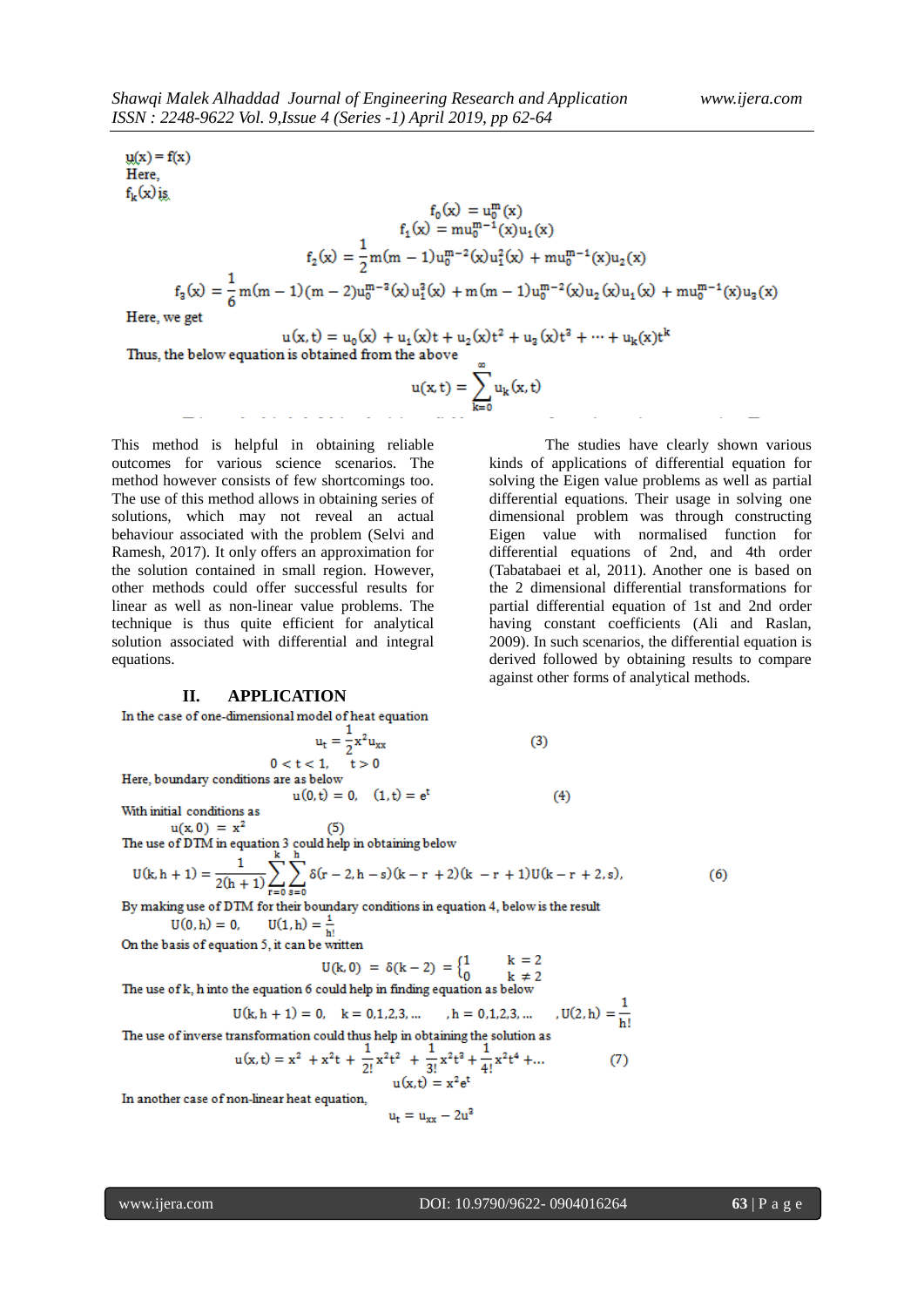$y(x) = f(x)$ Here,  $f_k(x)$ is  $\begin{gathered} f_0(x) = u_0^m(x)\\ f_1(x) = mu_0^{m-1}(x)u_1(x)\\ f_2(x) = \frac{1}{2}m(m-1)u_0^{m-2}(x)u_1^2(x) + mu_0^{m-1}(x)u_2(x)\\ f_3(x) = \frac{1}{6}m(m-1)(m-2)u_0^{m-3}(x)u_1^2(x) + m(m-1)u_0^{m-2}(x)u_2(x)u_1(x) + mu_0^{m-1}(x)u_3(x) \end{gathered}$ Here, we get  $u(x,t) = u_0(x) + u_1(x)t + u_2(x)t^2 + u_3(x)t^3 + \cdots + u_k(x)t^k$ 

Thus, the below equation is obtained from the above  $u(x, t) = \sum_{k=0}^{\infty} u_k(x, t)$ 

This method is helpful in obtaining reliable outcomes for various science scenarios. The method however consists of few shortcomings too. The use of this method allows in obtaining series of solutions, which may not reveal an actual behaviour associated with the problem (Selvi and Ramesh, 2017). It only offers an approximation for the solution contained in small region. However, other methods could offer successful results for linear as well as non-linear value problems. The technique is thus quite efficient for analytical solution associated with differential and integral equations.

#### **II. APPLICATION**

In the case of one-dimensional model of heat equation  $u_t = \frac{1}{2}x^2u_{xx}$ 

 $0 < t < 1, \quad t > 0$ Here, boundary conditions are as below

With initial conditions as

 $u(x, 0) = x^2$ 

 $u(x, 0) = x^2$  (5)<br>The use of DTM in equation 3 could help in obtaining below  $\frac{1}{1}$   $\frac{k}{2}$ 

$$
U(k, h + 1) = \frac{1}{2(h + 1)} \sum_{r=0}^{n} \sum_{s=0}^{n} \delta(r - 2, h - s)(k - r + 2)(k - r + 1)U(k - r + 2, s),
$$
\n(6)

By making use of DTM for their boundary conditions in equation 4, below is the result  $U(1, h) = \frac{1}{h!}$  $U(0, h) = 0,$ 

 $u(0, t) = 0, (1, t) = e^{t}$ 

On the basis of equation 5, it can be written

$$
J(k, 0) = \delta(k - 2) = \begin{cases} 1 & k = 2 \\ 0 & k \neq 2 \end{cases}
$$

The use of k, h into the equation 6 could help in finding equation as below

$$
U(k, h + 1) = 0, \quad k = 0, 1, 2, 3, \dots, h = 0, 1, 2, 3, \dots, U(2, h) = \frac{1}{h!}
$$

The use of inverse transformation could thus help in obtaining the solution as

$$
u(x,t) = x2 + x2t + \frac{1}{2!}x2t2 + \frac{1}{3!}x2t3 + \frac{1}{4!}x2t4 + ...
$$
 (7)  
 
$$
u(x,t) = x2et
$$

In another case of non-linear heat equation,

$$
u_t = u_{xx} - 2u^3
$$

The studies have clearly shown various kinds of applications of differential equation for solving the Eigen value problems as well as partial differential equations. Their usage in solving one dimensional problem was through constructing Eigen value with normalised function for differential equations of 2nd, and 4th order (Tabatabaei et al, 2011). Another one is based on the 2 dimensional differential transformations for partial differential equation of 1st and 2nd order having constant coefficients (Ali and Raslan, 2009). In such scenarios, the differential equation is derived followed by obtaining results to compare against other forms of analytical methods.

 $(3)$ 

 $(4)$ 

н